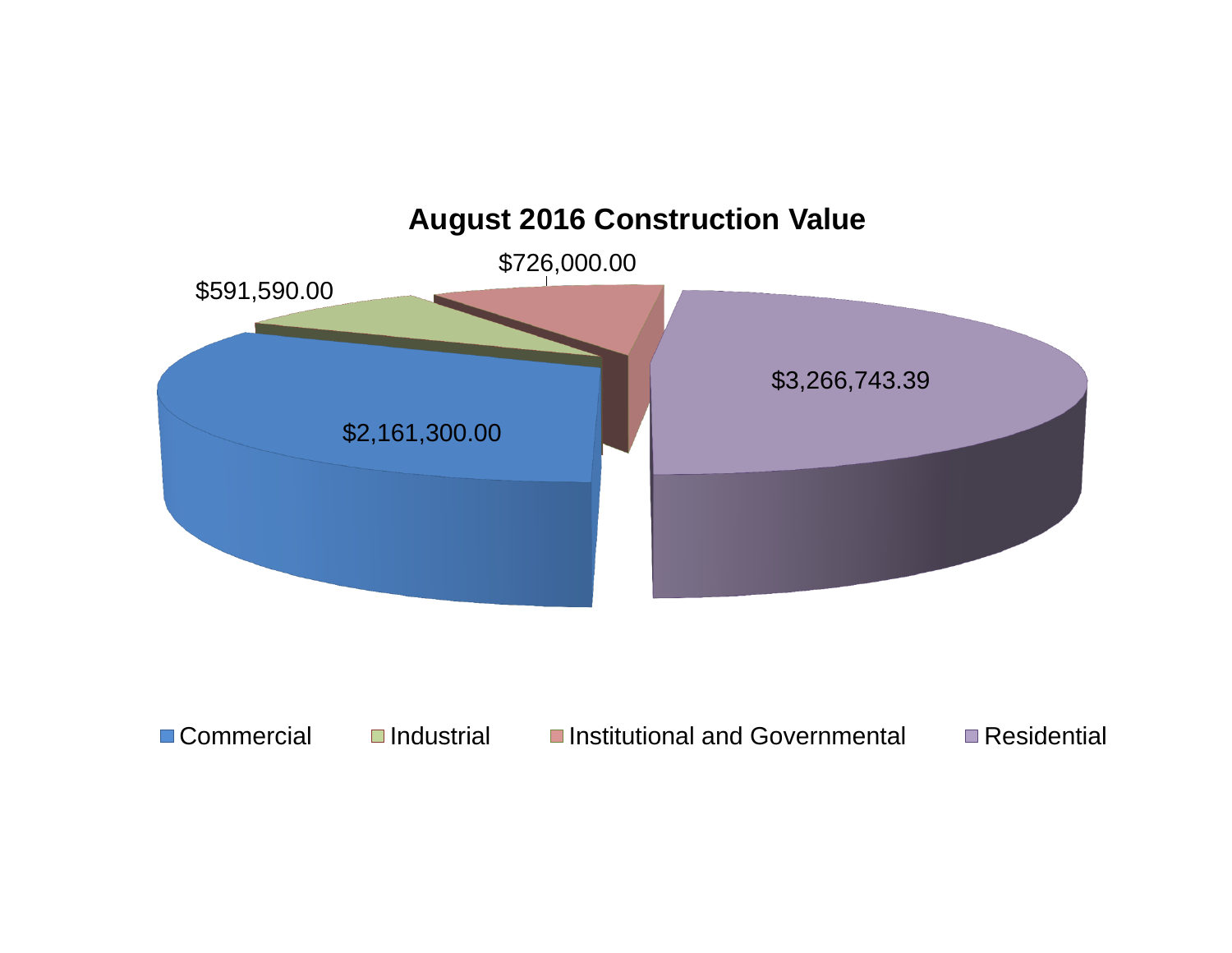

■ Commercial Industrial Institutional and Governmental Institutional Residential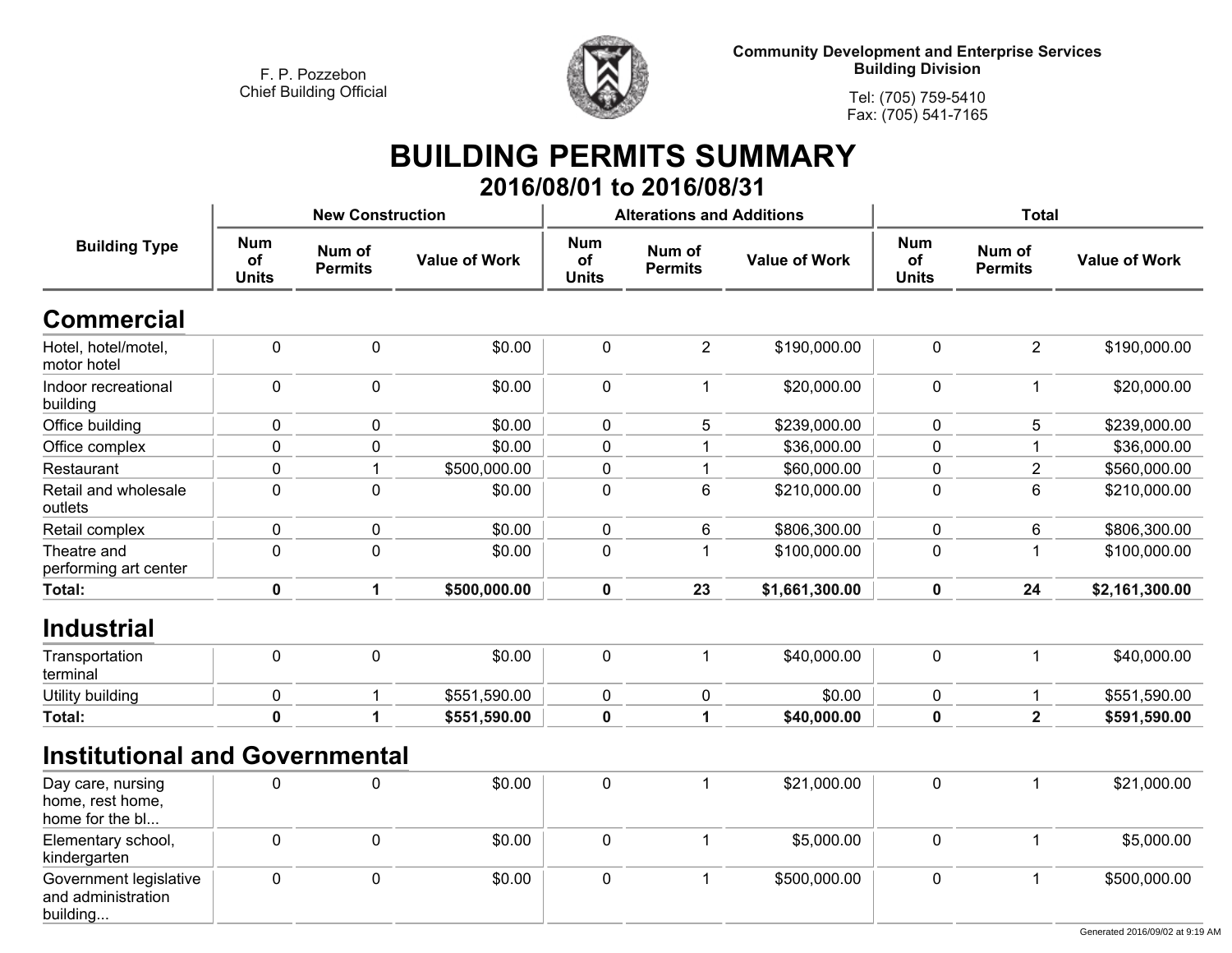

**Community Development and Enterprise Services Building Division**

**Tel: (705) 759-5410Fax: (705) 541-7165**

## **BUILDING PERMITS SUMMARY**

|                                                          |                                  |                          |                      |                                  | 2016/08/01 to 2016/08/31         |                      |                                  |                          |                      |
|----------------------------------------------------------|----------------------------------|--------------------------|----------------------|----------------------------------|----------------------------------|----------------------|----------------------------------|--------------------------|----------------------|
|                                                          |                                  | <b>New Construction</b>  |                      |                                  | <b>Alterations and Additions</b> |                      | <b>Total</b>                     |                          |                      |
| <b>Building Type</b>                                     | <b>Num</b><br>of<br><b>Units</b> | Num of<br><b>Permits</b> | <b>Value of Work</b> | <b>Num</b><br>of<br><b>Units</b> | Num of<br><b>Permits</b>         | <b>Value of Work</b> | <b>Num</b><br>of<br><b>Units</b> | Num of<br><b>Permits</b> | <b>Value of Work</b> |
| <b>Commercial</b>                                        |                                  |                          |                      |                                  |                                  |                      |                                  |                          |                      |
| Hotel, hotel/motel,<br>motor hotel                       | $\pmb{0}$                        | $\mathbf 0$              | \$0.00               | $\pmb{0}$                        | $\overline{2}$                   | \$190,000.00         | $\pmb{0}$                        | $\overline{2}$           | \$190,000.00         |
| Indoor recreational<br>building                          | 0                                | $\mathbf 0$              | \$0.00               | $\pmb{0}$                        | 1                                | \$20,000.00          | $\pmb{0}$                        | $\mathbf{1}$             | \$20,000.00          |
| Office building                                          | 0                                | $\mathbf 0$              | \$0.00               | 0                                | 5                                | \$239,000.00         | 0                                | 5                        | \$239,000.00         |
| Office complex                                           | $\mathbf 0$                      | $\mathbf 0$              | \$0.00               | 0                                | 1                                | \$36,000.00          | 0                                | $\mathbf{1}$             | \$36,000.00          |
| Restaurant                                               | 0                                | 1                        | \$500,000.00         | 0                                | 1                                | \$60,000.00          | 0                                | $\overline{2}$           | \$560,000.00         |
| Retail and wholesale<br>outlets                          | $\mathbf 0$                      | $\mathbf 0$              | \$0.00               | 0                                | 6                                | \$210,000.00         | $\mathbf 0$                      | 6                        | \$210,000.00         |
| Retail complex                                           | 0                                | $\pmb{0}$                | \$0.00               | 0                                | 6                                | \$806,300.00         | $\pmb{0}$                        | 6                        | \$806,300.00         |
| Theatre and<br>performing art center                     | $\mathbf 0$                      | $\mathbf 0$              | \$0.00               | $\mathbf 0$                      | 1                                | \$100,000.00         | $\mathbf 0$                      | $\mathbf 1$              | \$100,000.00         |
| <b>Total:</b>                                            | $\mathbf 0$                      | $\mathbf 1$              | \$500,000.00         | $\mathbf 0$                      | 23                               | \$1,661,300.00       | $\mathbf 0$                      | 24                       | \$2,161,300.00       |
| <b>Industrial</b>                                        |                                  |                          |                      |                                  |                                  |                      |                                  |                          |                      |
| Transportation<br>terminal                               | $\pmb{0}$                        | $\pmb{0}$                | \$0.00               | 0                                | $\mathbf{1}$                     | \$40,000.00          | $\pmb{0}$                        | 1                        | \$40,000.00          |
| Utility building                                         | 0                                | $\mathbf{1}$             | \$551,590.00         | 0                                | 0                                | \$0.00               | $\pmb{0}$                        | 1                        | \$551,590.00         |
| Total:                                                   | 0                                | 1                        | \$551,590.00         | $\mathbf 0$                      | $\mathbf{1}$                     | \$40,000.00          | $\mathbf 0$                      | $\overline{\mathbf{2}}$  | \$591,590.00         |
| <b>Institutional and Governmental</b>                    |                                  |                          |                      |                                  |                                  |                      |                                  |                          |                      |
| Day care, nursing<br>home, rest home,<br>home for the bl | 0                                | $\mathbf 0$              | \$0.00               | $\mathbf 0$                      | 1                                | \$21,000.00          | $\mathbf 0$                      | 1                        | \$21,000.00          |
| Elementary school,<br>kindergarten                       | 0                                | $\mathbf 0$              | \$0.00               | 0                                | $\mathbf{1}$                     | \$5,000.00           | $\pmb{0}$                        | 1                        | \$5,000.00           |
| Government legislative<br>and administration<br>building | 0                                | $\mathbf 0$              | \$0.00               | $\mathbf 0$                      | $\mathbf{1}$                     | \$500,000.00         | $\mathbf 0$                      | $\mathbf{1}$             | \$500,000.00         |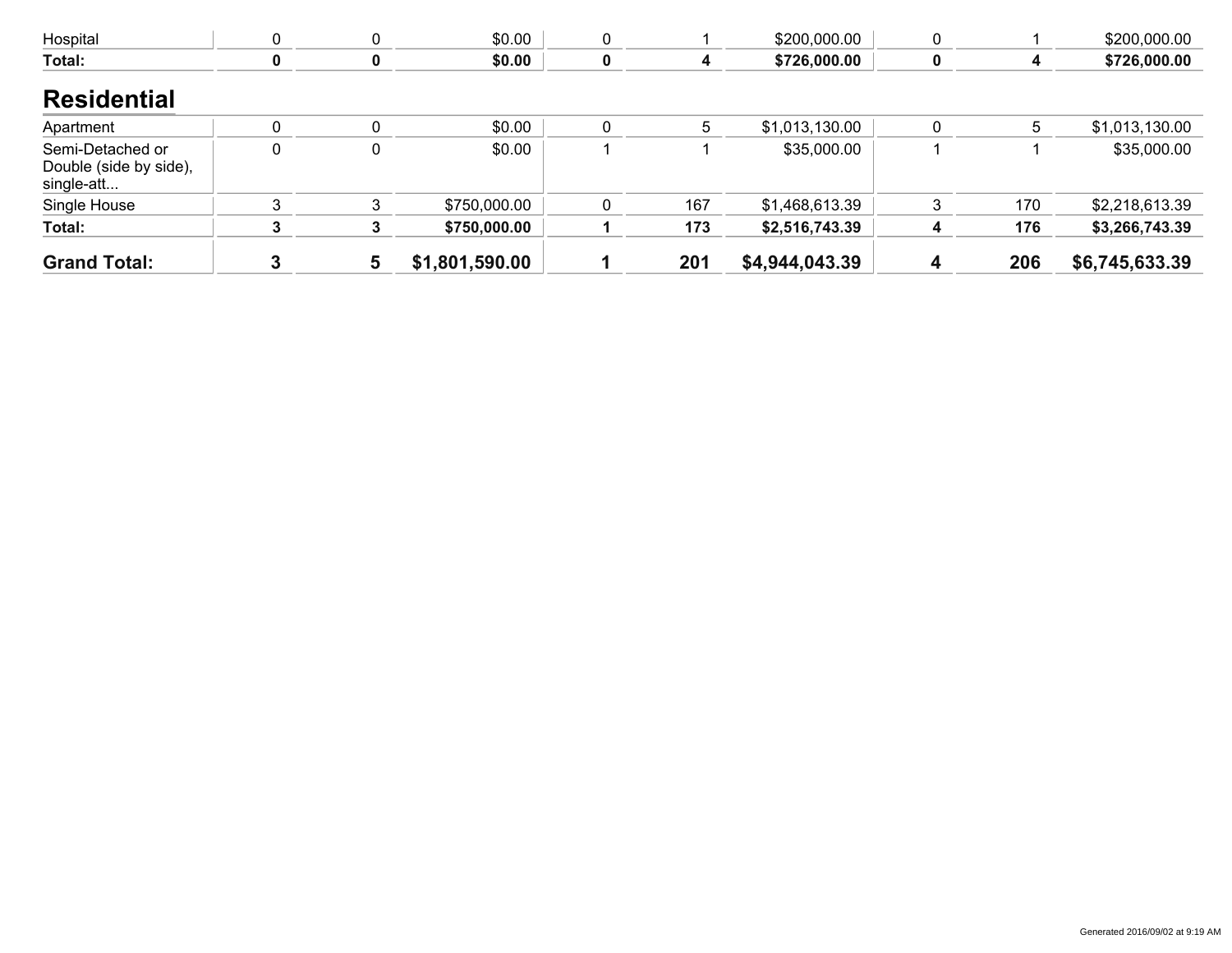| <b>Grand Total:</b>                                      |   | 5 | \$1,801,590.00 |   | 201 | \$4,944,043.39 | 4 | 206 | \$6,745,633.39 |
|----------------------------------------------------------|---|---|----------------|---|-----|----------------|---|-----|----------------|
| Total:                                                   |   |   | \$750,000.00   |   | 173 | \$2,516,743.39 |   | 176 | \$3,266,743.39 |
| Single House                                             |   |   | \$750,000.00   |   | 167 | \$1,468,613.39 |   | 170 | \$2,218,613.39 |
| Semi-Detached or<br>Double (side by side),<br>single-att | 0 | 0 | \$0.00         |   |     | \$35,000.00    |   |     | \$35,000.00    |
| Apartment                                                |   |   | \$0.00         |   | 5   | \$1,013,130.00 |   | 5   | \$1,013,130.00 |
| <b>Residential</b>                                       |   |   |                |   |     |                |   |     |                |
| Total:                                                   | 0 | 0 | \$0.00         | 0 | 4   | \$726,000.00   | 0 |     | \$726,000.00   |
| Hospital                                                 |   | 0 | \$0.00         | 0 |     | \$200,000.00   | 0 |     | \$200,000.00   |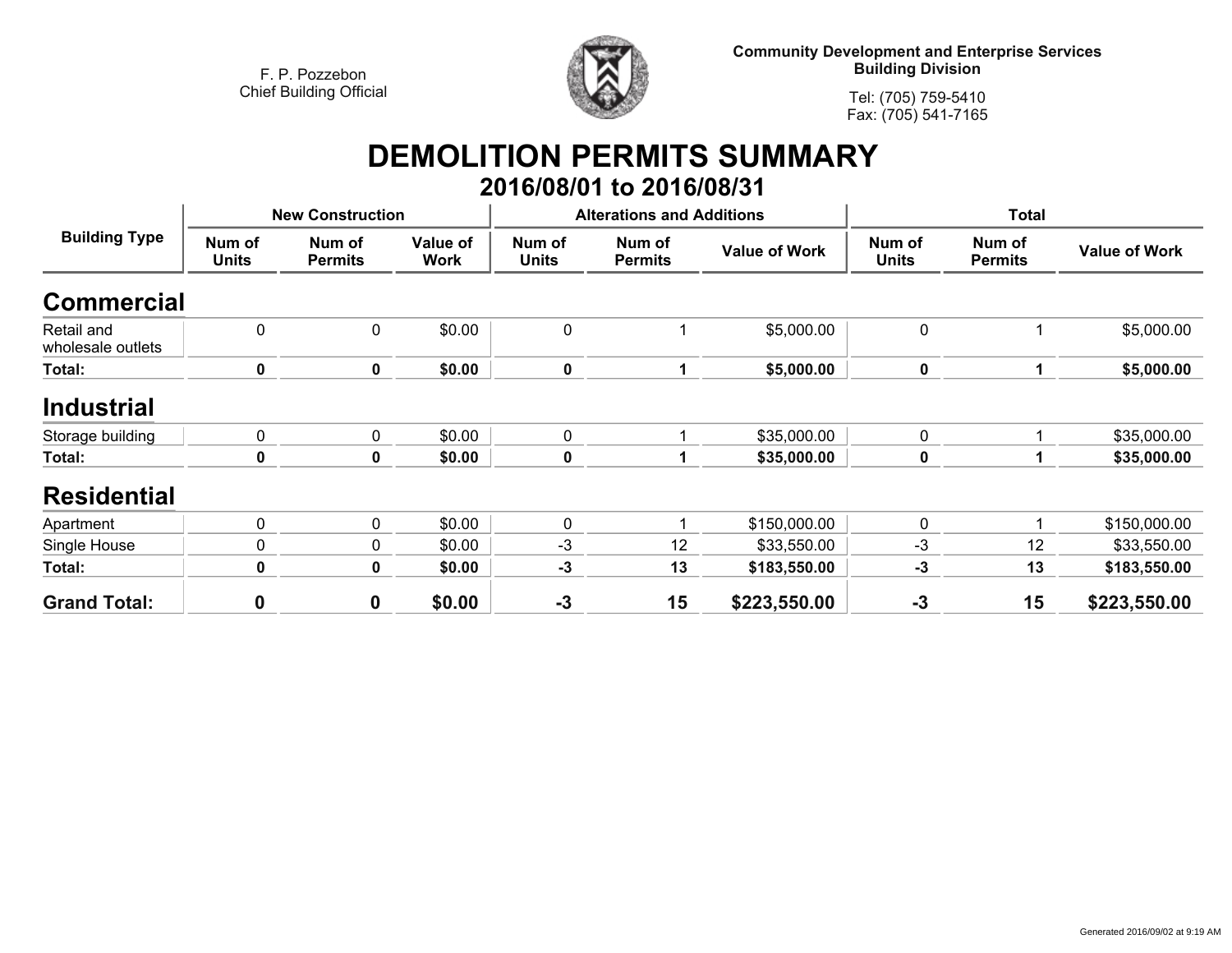

**Community Development and Enterprise Services Building Division**

**Tel: (705) 759-5410Fax: (705) 541-7165**

## **DEMOLITION PERMITS SUMMARY 2016/08/01 to 2016/08/31**

| <b>Building Type</b>            |                        | <b>New Construction</b>  |                         |                        | <b>Alterations and Additions</b> |                      | <b>Total</b>           |                          |                      |
|---------------------------------|------------------------|--------------------------|-------------------------|------------------------|----------------------------------|----------------------|------------------------|--------------------------|----------------------|
|                                 | Num of<br><b>Units</b> | Num of<br><b>Permits</b> | Value of<br><b>Work</b> | Num of<br><b>Units</b> | Num of<br><b>Permits</b>         | <b>Value of Work</b> | Num of<br><b>Units</b> | Num of<br><b>Permits</b> | <b>Value of Work</b> |
| <b>Commercial</b>               |                        |                          |                         |                        |                                  |                      |                        |                          |                      |
| Retail and<br>wholesale outlets | $\mathbf 0$            | $\mathbf 0$              | \$0.00                  | $\mathbf 0$            |                                  | \$5,000.00           | $\pmb{0}$              |                          | \$5,000.00           |
| Total:                          | 0                      | $\mathbf 0$              | \$0.00                  | 0                      | 1                                | \$5,000.00           | $\mathbf 0$            |                          | \$5,000.00           |
| <b>Industrial</b>               |                        |                          |                         |                        |                                  |                      |                        |                          |                      |
| Storage building                | $\pmb{0}$              | $\pmb{0}$                | \$0.00                  | $\mathbf 0$            |                                  | \$35,000.00          | $\pmb{0}$              |                          | \$35,000.00          |
| Total:                          | $\mathbf 0$            | $\mathbf 0$              | \$0.00                  | 0                      |                                  | \$35,000.00          | 0                      |                          | \$35,000.00          |
| <b>Residential</b>              |                        |                          |                         |                        |                                  |                      |                        |                          |                      |
| Apartment                       | $\mathbf 0$            | $\mathbf 0$              | \$0.00                  | $\mathbf 0$            |                                  | \$150,000.00         | $\mathbf 0$            |                          | \$150,000.00         |
| Single House                    | $\mathbf 0$            | 0                        | \$0.00                  | -3                     | 12                               | \$33,550.00          | $-3$                   | 12                       | \$33,550.00          |
| Total:                          | $\mathbf 0$            | $\mathbf 0$              | \$0.00                  | $-3$                   | 13                               | \$183,550.00         | $-3$                   | 13                       | \$183,550.00         |
| <b>Grand Total:</b>             | $\mathbf 0$            | $\boldsymbol{0}$         | \$0.00                  | $-3$                   | 15                               | \$223,550.00         | $-3$                   | 15                       | \$223,550.00         |